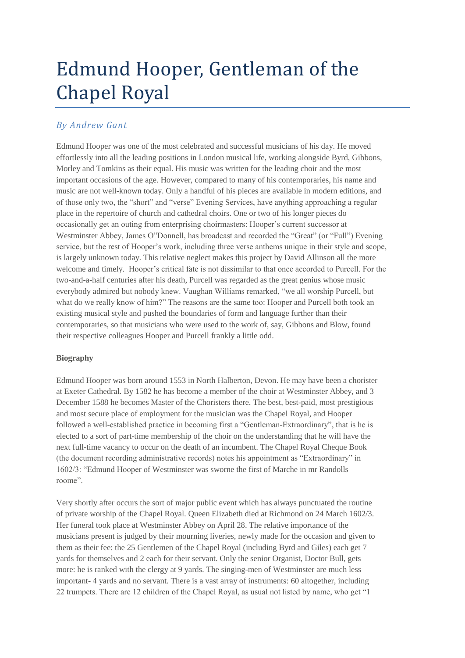# Edmund Hooper, Gentleman of the Chapel Royal

# *By Andrew Gant*

Edmund Hooper was one of the most celebrated and successful musicians of his day. He moved effortlessly into all the leading positions in London musical life, working alongside Byrd, Gibbons, Morley and Tomkins as their equal. His music was written for the leading choir and the most important occasions of the age. However, compared to many of his contemporaries, his name and music are not well-known today. Only a handful of his pieces are available in modern editions, and of those only two, the "short" and "verse" Evening Services, have anything approaching a regular place in the repertoire of church and cathedral choirs. One or two of his longer pieces do occasionally get an outing from enterprising choirmasters: Hooper's current successor at Westminster Abbey, James O"Donnell, has broadcast and recorded the "Great" (or "Full") Evening service, but the rest of Hooper's work, including three verse anthems unique in their style and scope, is largely unknown today. This relative neglect makes this project by David Allinson all the more welcome and timely. Hooper's critical fate is not dissimilar to that once accorded to Purcell. For the two-and-a-half centuries after his death, Purcell was regarded as the great genius whose music everybody admired but nobody knew. Vaughan Williams remarked, "we all worship Purcell, but what do we really know of him?" The reasons are the same too: Hooper and Purcell both took an existing musical style and pushed the boundaries of form and language further than their contemporaries, so that musicians who were used to the work of, say, Gibbons and Blow, found their respective colleagues Hooper and Purcell frankly a little odd.

# **Biography**

Edmund Hooper was born around 1553 in North Halberton, Devon. He may have been a chorister at Exeter Cathedral. By 1582 he has become a member of the choir at Westminster Abbey, and 3 December 1588 he becomes Master of the Choristers there. The best, best-paid, most prestigious and most secure place of employment for the musician was the Chapel Royal, and Hooper followed a well-established practice in becoming first a "Gentleman-Extraordinary", that is he is elected to a sort of part-time membership of the choir on the understanding that he will have the next full-time vacancy to occur on the death of an incumbent. The Chapel Royal Cheque Book (the document recording administrative records) notes his appointment as "Extraordinary" in 1602/3: "Edmund Hooper of Westminster was sworne the first of Marche in mr Randolls roome".

Very shortly after occurs the sort of major public event which has always punctuated the routine of private worship of the Chapel Royal. Queen Elizabeth died at Richmond on 24 March 1602/3. Her funeral took place at Westminster Abbey on April 28. The relative importance of the musicians present is judged by their mourning liveries, newly made for the occasion and given to them as their fee: the 25 Gentlemen of the Chapel Royal (including Byrd and Giles) each get 7 yards for themselves and 2 each for their servant. Only the senior Organist, Doctor Bull, gets more: he is ranked with the clergy at 9 yards. The singing-men of Westminster are much less important- 4 yards and no servant. There is a vast array of instruments: 60 altogether, including 22 trumpets. There are 12 children of the Chapel Royal, as usual not listed by name, who get "1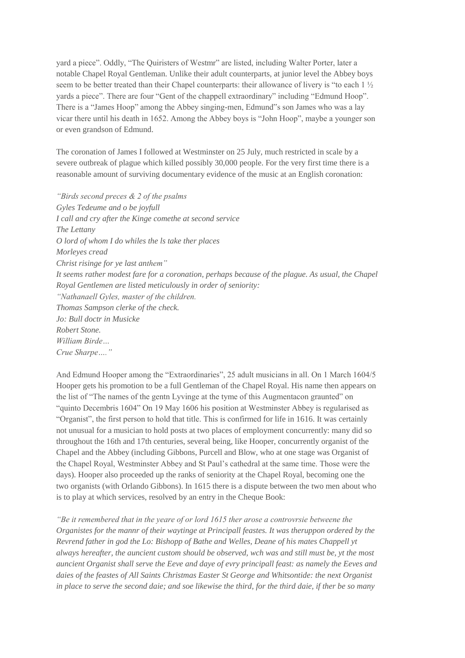yard a piece". Oddly, "The Quiristers of Westmr" are listed, including Walter Porter, later a notable Chapel Royal Gentleman. Unlike their adult counterparts, at junior level the Abbey boys seem to be better treated than their Chapel counterparts: their allowance of livery is "to each  $1\frac{1}{2}$ " yards a piece". There are four "Gent of the chappell extraordinary" including "Edmund Hoop". There is a "James Hoop" among the Abbey singing-men, Edmund"s son James who was a lay vicar there until his death in 1652. Among the Abbey boys is "John Hoop", maybe a younger son or even grandson of Edmund.

The coronation of James I followed at Westminster on 25 July, much restricted in scale by a severe outbreak of plague which killed possibly 30,000 people. For the very first time there is a reasonable amount of surviving documentary evidence of the music at an English coronation:

*"Birds second preces & 2 of the psalms Gyles Tedeume and o be joyfull I call and cry after the Kinge comethe at second service The Lettany O lord of whom I do whiles the ls take ther places Morleyes cread Christ risinge for ye last anthem" It seems rather modest fare for a coronation, perhaps because of the plague. As usual, the Chapel Royal Gentlemen are listed meticulously in order of seniority: "Nathanaell Gyles, master of the children. Thomas Sampson clerke of the check. Jo: Bull doctr in Musicke Robert Stone. William Birde… Crue Sharpe…."*

And Edmund Hooper among the "Extraordinaries", 25 adult musicians in all. On 1 March 1604/5 Hooper gets his promotion to be a full Gentleman of the Chapel Royal. His name then appears on the list of "The names of the gentn Lyvinge at the tyme of this Augmentacon graunted" on "quinto Decembris 1604" On 19 May 1606 his position at Westminster Abbey is regularised as "Organist", the first person to hold that title. This is confirmed for life in 1616. It was certainly not unusual for a musician to hold posts at two places of employment concurrently: many did so throughout the 16th and 17th centuries, several being, like Hooper, concurrently organist of the Chapel and the Abbey (including Gibbons, Purcell and Blow, who at one stage was Organist of the Chapel Royal, Westminster Abbey and St Paul's cathedral at the same time. Those were the days). Hooper also proceeded up the ranks of seniority at the Chapel Royal, becoming one the two organists (with Orlando Gibbons). In 1615 there is a dispute between the two men about who is to play at which services, resolved by an entry in the Cheque Book:

*"Be it remembered that in the yeare of or lord 1615 ther arose a controvrsie betweene the Organistes for the mannr of their waytinge at Principall feastes. It was theruppon ordered by the Revrend father in god the Lo: Bishopp of Bathe and Welles, Deane of his mates Chappell yt always hereafter, the auncient custom should be observed, wch was and still must be, yt the most auncient Organist shall serve the Eeve and daye of evry principall feast: as namely the Eeves and daies of the feastes of All Saints Christmas Easter St George and Whitsontide: the next Organist in place to serve the second daie; and soe likewise the third, for the third daie, if ther be so many*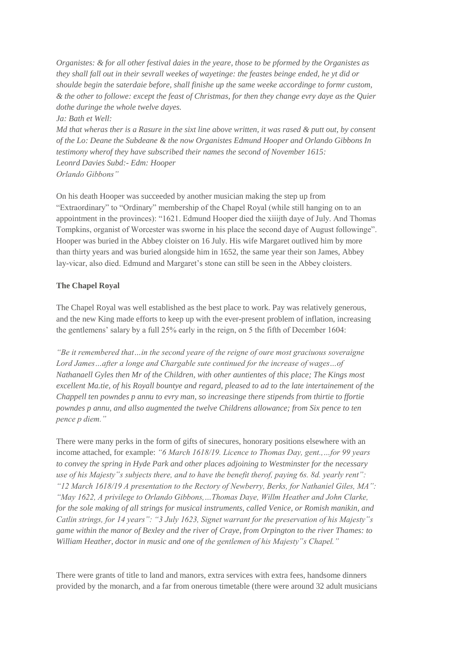*Organistes: & for all other festival daies in the yeare, those to be pformed by the Organistes as they shall fall out in their sevrall weekes of wayetinge: the feastes beinge ended, he yt did or shoulde begin the saterdaie before, shall finishe up the same weeke accordinge to formr custom, & the other to followe: except the feast of Christmas, for then they change evry daye as the Quier dothe duringe the whole twelve dayes. Ja: Bath et Well:*

*Md that wheras ther is a Rasure in the sixt line above written, it was rased & putt out, by consent of the Lo: Deane the Subdeane & the now Organistes Edmund Hooper and Orlando Gibbons In testimony wherof they have subscribed their names the second of November 1615: Leonrd Davies Subd:- Edm: Hooper Orlando Gibbons"*

On his death Hooper was succeeded by another musician making the step up from "Extraordinary" to "Ordinary" membership of the Chapel Royal (while still hanging on to an appointment in the provinces): "1621. Edmund Hooper died the xiiijth daye of July. And Thomas Tompkins, organist of Worcester was sworne in his place the second daye of August followinge". Hooper was buried in the Abbey cloister on 16 July. His wife Margaret outlived him by more than thirty years and was buried alongside him in 1652, the same year their son James, Abbey lay-vicar, also died. Edmund and Margaret's stone can still be seen in the Abbey cloisters.

# **The Chapel Royal**

The Chapel Royal was well established as the best place to work. Pay was relatively generous, and the new King made efforts to keep up with the ever-present problem of inflation, increasing the gentlemens' salary by a full 25% early in the reign, on 5 the fifth of December 1604:

*"Be it remembered that…in the second yeare of the reigne of oure most graciuous soveraigne Lord James…after a longe and Chargable sute continued for the increase of wages…of Nathanaell Gyles then Mr of the Children, with other auntientes of this place; The Kings most excellent Ma.tie, of his Royall bountye and regard, pleased to ad to the late intertainement of the Chappell ten powndes p annu to evry man, so increasinge there stipends from thirtie to ffortie powndes p annu, and allso augmented the twelve Childrens allowance; from Six pence to ten pence p diem."*

There were many perks in the form of gifts of sinecures, honorary positions elsewhere with an income attached, for example: *"6 March 1618/19. Licence to Thomas Day, gent.,…for 99 years to convey the spring in Hyde Park and other places adjoining to Westminster for the necessary use of his Majesty"s subjects there, and to have the benefit therof, paying 6s. 8d. yearly rent": "12 March 1618/19 A presentation to the Rectory of Newberry, Berks, for Nathaniel Giles, MA": "May 1622, A privilege to Orlando Gibbons,…Thomas Daye, Willm Heather and John Clarke, for the sole making of all strings for musical instruments, called Venice, or Romish manikin, and Catlin strings, for 14 years": "3 July 1623, Signet warrant for the preservation of his Majesty"s game within the manor of Bexley and the river of Craye, from Orpington to the river Thames: to William Heather, doctor in music and one of the gentlemen of his Majesty"s Chapel."*

There were grants of title to land and manors, extra services with extra fees, handsome dinners provided by the monarch, and a far from onerous timetable (there were around 32 adult musicians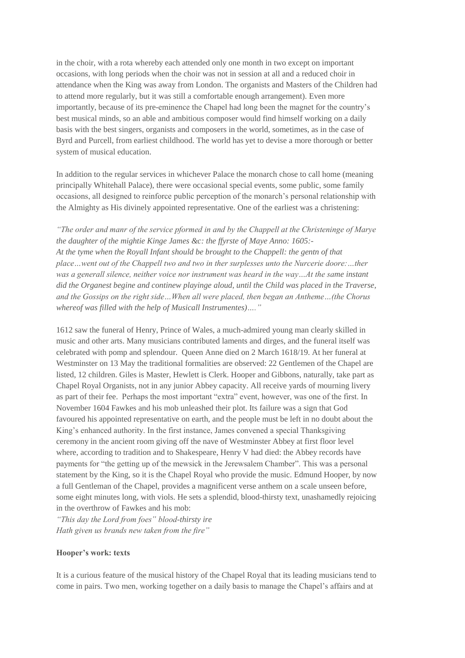in the choir, with a rota whereby each attended only one month in two except on important occasions, with long periods when the choir was not in session at all and a reduced choir in attendance when the King was away from London. The organists and Masters of the Children had to attend more regularly, but it was still a comfortable enough arrangement). Even more importantly, because of its pre-eminence the Chapel had long been the magnet for the country's best musical minds, so an able and ambitious composer would find himself working on a daily basis with the best singers, organists and composers in the world, sometimes, as in the case of Byrd and Purcell, from earliest childhood. The world has yet to devise a more thorough or better system of musical education.

In addition to the regular services in whichever Palace the monarch chose to call home (meaning principally Whitehall Palace), there were occasional special events, some public, some family occasions, all designed to reinforce public perception of the monarch's personal relationship with the Almighty as His divinely appointed representative. One of the earliest was a christening:

*"The order and manr of the service pformed in and by the Chappell at the Christeninge of Marye the daughter of the mightie Kinge James &c: the ffyrste of Maye Anno: 1605:- At the tyme when the Royall Infant should be brought to the Chappell: the gentn of that place…went out of the Chappell two and two in ther surplesses unto the Nurcerie doore:…ther was a generall silence, neither voice nor instrument was heard in the way…At the same instant did the Organest begine and continew playinge aloud, until the Child was placed in the Traverse, and the Gossips on the right side…When all were placed, then began an Antheme…(the Chorus whereof was filled with the help of Musicall Instrumentes)…."*

1612 saw the funeral of Henry, Prince of Wales, a much-admired young man clearly skilled in music and other arts. Many musicians contributed laments and dirges, and the funeral itself was celebrated with pomp and splendour. Queen Anne died on 2 March 1618/19. At her funeral at Westminster on 13 May the traditional formalities are observed: 22 Gentlemen of the Chapel are listed, 12 children. Giles is Master, Hewlett is Clerk. Hooper and Gibbons, naturally, take part as Chapel Royal Organists, not in any junior Abbey capacity. All receive yards of mourning livery as part of their fee. Perhaps the most important "extra" event, however, was one of the first. In November 1604 Fawkes and his mob unleashed their plot. Its failure was a sign that God favoured his appointed representative on earth, and the people must be left in no doubt about the King's enhanced authority. In the first instance, James convened a special Thanksgiving ceremony in the ancient room giving off the nave of Westminster Abbey at first floor level where, according to tradition and to Shakespeare, Henry V had died: the Abbey records have payments for "the getting up of the mewsick in the Jerewsalem Chamber". This was a personal statement by the King, so it is the Chapel Royal who provide the music. Edmund Hooper, by now a full Gentleman of the Chapel, provides a magnificent verse anthem on a scale unseen before, some eight minutes long, with viols. He sets a splendid, blood-thirsty text, unashamedly rejoicing in the overthrow of Fawkes and his mob:

*"This day the Lord from foes" blood-thirsty ire Hath given us brands new taken from the fire"*

# **Hooper's work: texts**

It is a curious feature of the musical history of the Chapel Royal that its leading musicians tend to come in pairs. Two men, working together on a daily basis to manage the Chapel's affairs and at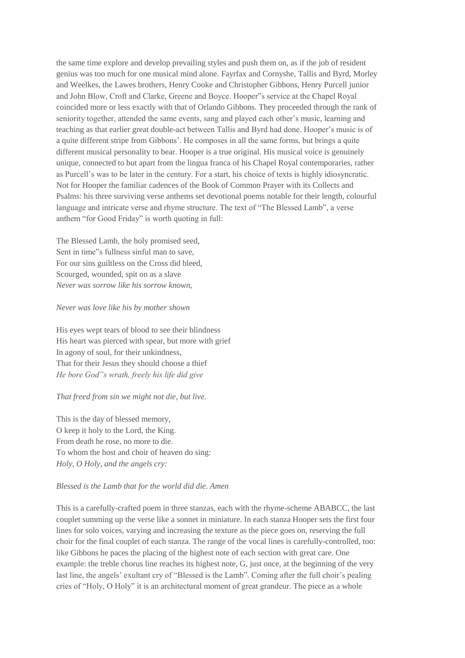the same time explore and develop prevailing styles and push them on, as if the job of resident genius was too much for one musical mind alone. Fayrfax and Cornyshe, Tallis and Byrd, Morley and Weelkes, the Lawes brothers, Henry Cooke and Christopher Gibbons, Henry Purcell junior and John Blow, Croft and Clarke, Greene and Boyce. Hooper"s service at the Chapel Royal coincided more or less exactly with that of Orlando Gibbons. They proceeded through the rank of seniority together, attended the same events, sang and played each other's music, learning and teaching as that earlier great double-act between Tallis and Byrd had done. Hooper's music is of a quite different stripe from Gibbons'. He composes in all the same forms, but brings a quite different musical personality to bear. Hooper is a true original. His musical voice is genuinely unique, connected to but apart from the lingua franca of his Chapel Royal contemporaries, rather as Purcell's was to be later in the century. For a start, his choice of texts is highly idiosyncratic. Not for Hooper the familiar cadences of the Book of Common Prayer with its Collects and Psalms: his three surviving verse anthems set devotional poems notable for their length, colourful language and intricate verse and rhyme structure. The text of "The Blessed Lamb", a verse anthem "for Good Friday" is worth quoting in full:

The Blessed Lamb, the holy promised seed, Sent in time"s fullness sinful man to save, For our sins guiltless on the Cross did bleed, Scourged, wounded, spit on as a slave *Never was sorrow like his sorrow known,*

#### *Never was love like his by mother shown*

His eyes wept tears of blood to see their blindness His heart was pierced with spear, but more with grief In agony of soul, for their unkindness, That for their Jesus they should choose a thief *He bore God"s wrath, freely his life did give*

#### *That freed from sin we might not die, but live.*

This is the day of blessed memory, O keep it holy to the Lord, the King. From death he rose, no more to die. To whom the host and choir of heaven do sing: *Holy, O Holy, and the angels cry:*

#### *Blessed is the Lamb that for the world did die. Amen*

This is a carefully-crafted poem in three stanzas, each with the rhyme-scheme ABABCC, the last couplet summing up the verse like a sonnet in miniature. In each stanza Hooper sets the first four lines for solo voices, varying and increasing the texture as the piece goes on, reserving the full choir for the final couplet of each stanza. The range of the vocal lines is carefully-controlled, too: like Gibbons he paces the placing of the highest note of each section with great care. One example: the treble chorus line reaches its highest note, G, just once, at the beginning of the very last line, the angels' exultant cry of "Blessed is the Lamb". Coming after the full choir's pealing cries of "Holy, O Holy" it is an architectural moment of great grandeur. The piece as a whole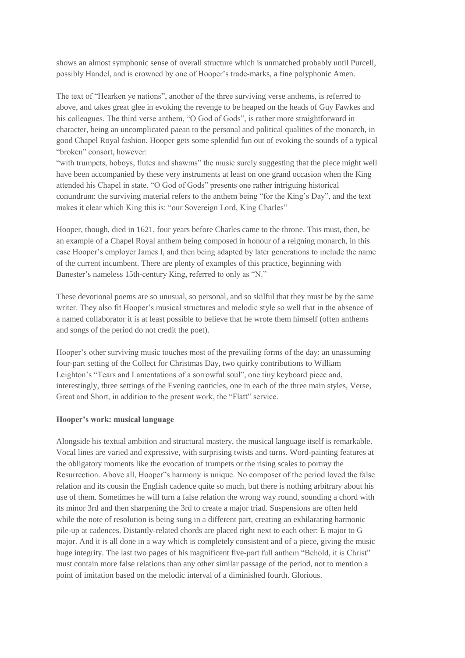shows an almost symphonic sense of overall structure which is unmatched probably until Purcell, possibly Handel, and is crowned by one of Hooper's trade-marks, a fine polyphonic Amen.

The text of "Hearken ye nations", another of the three surviving verse anthems, is referred to above, and takes great glee in evoking the revenge to be heaped on the heads of Guy Fawkes and his colleagues. The third verse anthem, "O God of Gods", is rather more straightforward in character, being an uncomplicated paean to the personal and political qualities of the monarch, in good Chapel Royal fashion. Hooper gets some splendid fun out of evoking the sounds of a typical "broken" consort, however:

"with trumpets, hoboys, flutes and shawms" the music surely suggesting that the piece might well have been accompanied by these very instruments at least on one grand occasion when the King attended his Chapel in state. "O God of Gods" presents one rather intriguing historical conundrum: the surviving material refers to the anthem being "for the King's Day", and the text makes it clear which King this is: "our Sovereign Lord, King Charles"

Hooper, though, died in 1621, four years before Charles came to the throne. This must, then, be an example of a Chapel Royal anthem being composed in honour of a reigning monarch, in this case Hooper's employer James I, and then being adapted by later generations to include the name of the current incumbent. There are plenty of examples of this practice, beginning with Banester's nameless 15th-century King, referred to only as "N."

These devotional poems are so unusual, so personal, and so skilful that they must be by the same writer. They also fit Hooper's musical structures and melodic style so well that in the absence of a named collaborator it is at least possible to believe that he wrote them himself (often anthems and songs of the period do not credit the poet).

Hooper's other surviving music touches most of the prevailing forms of the day: an unassuming four-part setting of the Collect for Christmas Day, two quirky contributions to William Leighton's "Tears and Lamentations of a sorrowful soul", one tiny keyboard piece and, interestingly, three settings of the Evening canticles, one in each of the three main styles, Verse, Great and Short, in addition to the present work, the "Flatt" service.

# **Hooper's work: musical language**

Alongside his textual ambition and structural mastery, the musical language itself is remarkable. Vocal lines are varied and expressive, with surprising twists and turns. Word-painting features at the obligatory moments like the evocation of trumpets or the rising scales to portray the Resurrection. Above all, Hooper"s harmony is unique. No composer of the period loved the false relation and its cousin the English cadence quite so much, but there is nothing arbitrary about his use of them. Sometimes he will turn a false relation the wrong way round, sounding a chord with its minor 3rd and then sharpening the 3rd to create a major triad. Suspensions are often held while the note of resolution is being sung in a different part, creating an exhilarating harmonic pile-up at cadences. Distantly-related chords are placed right next to each other: E major to G major. And it is all done in a way which is completely consistent and of a piece, giving the music huge integrity. The last two pages of his magnificent five-part full anthem "Behold, it is Christ" must contain more false relations than any other similar passage of the period, not to mention a point of imitation based on the melodic interval of a diminished fourth. Glorious.